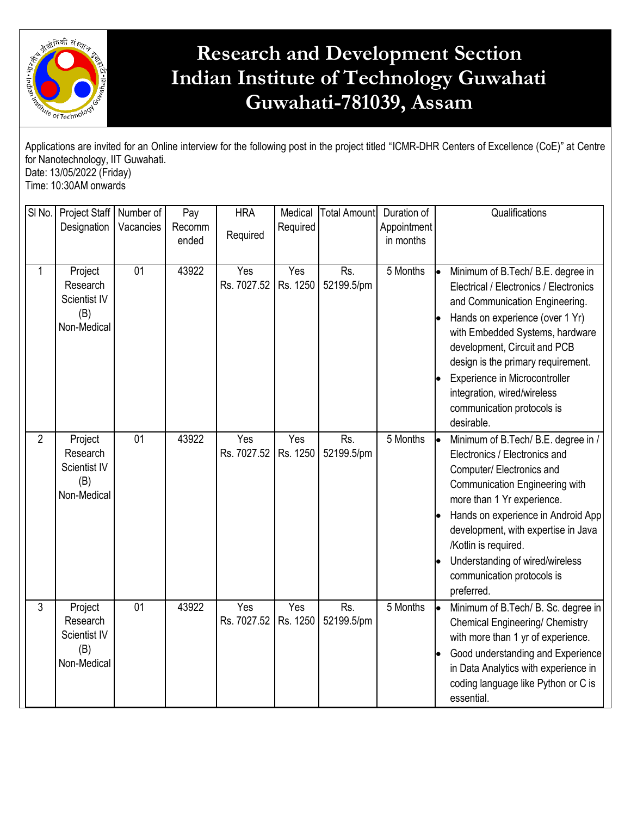

## **Research and Development Section Indian Institute of Technology Guwahati Guwahati-781039, Assam**

| Applications are invited for an Online interview for the following post in the project titled "ICMR-DHR Centers of Excellence (CoE)" at Centre<br>for Nanotechnology, IIT Guwahati.<br>Date: 13/05/2022 (Friday)<br>Time: 10:30AM onwards |                                                                  |                        |                        |                        |                     |                     |                                         |                                                                                                                                                                                                                                                                                                                                                                       |  |
|-------------------------------------------------------------------------------------------------------------------------------------------------------------------------------------------------------------------------------------------|------------------------------------------------------------------|------------------------|------------------------|------------------------|---------------------|---------------------|-----------------------------------------|-----------------------------------------------------------------------------------------------------------------------------------------------------------------------------------------------------------------------------------------------------------------------------------------------------------------------------------------------------------------------|--|
| SI No.                                                                                                                                                                                                                                    | Project Staff<br>Designation                                     | Number of<br>Vacancies | Pay<br>Recomm<br>ended | <b>HRA</b><br>Required | Medical<br>Required | <b>Total Amount</b> | Duration of<br>Appointment<br>in months | Qualifications                                                                                                                                                                                                                                                                                                                                                        |  |
| 1                                                                                                                                                                                                                                         | Project<br>Research<br><b>Scientist IV</b><br>(B)<br>Non-Medical | 01                     | 43922                  | Yes<br>Rs. 7027.52     | Yes<br>Rs. 1250     | Rs.<br>52199.5/pm   | 5 Months                                | Minimum of B.Tech/ B.E. degree in<br>Electrical / Electronics / Electronics<br>and Communication Engineering.<br>Hands on experience (over 1 Yr)<br>with Embedded Systems, hardware<br>development, Circuit and PCB<br>design is the primary requirement.<br>Experience in Microcontroller<br>integration, wired/wireless<br>communication protocols is<br>desirable. |  |
| $\overline{2}$                                                                                                                                                                                                                            | Project<br>Research<br><b>Scientist IV</b><br>(B)<br>Non-Medical | 01                     | 43922                  | Yes<br>Rs. 7027.52     | Yes<br>Rs. 1250     | Rs.<br>52199.5/pm   | 5 Months                                | .<br>Minimum of B.Tech/ B.E. degree in /<br>Electronics / Electronics and<br>Computer/Electronics and<br>Communication Engineering with<br>more than 1 Yr experience.<br>Hands on experience in Android App<br>development, with expertise in Java<br>/Kotlin is required.<br>Understanding of wired/wireless<br>communication protocols is<br>preferred.             |  |
| 3                                                                                                                                                                                                                                         | Project<br>Research<br>Scientist IV<br>(B)<br>Non-Medical        | 01                     | 43922                  | Yes<br>Rs. 7027.52     | Yes<br>Rs. 1250     | Rs.<br>52199.5/pm   | 5 Months                                | Minimum of B.Tech/ B. Sc. degree in<br> e<br><b>Chemical Engineering/ Chemistry</b><br>with more than 1 yr of experience.<br>Good understanding and Experience<br>in Data Analytics with experience in<br>coding language like Python or C is<br>essential.                                                                                                           |  |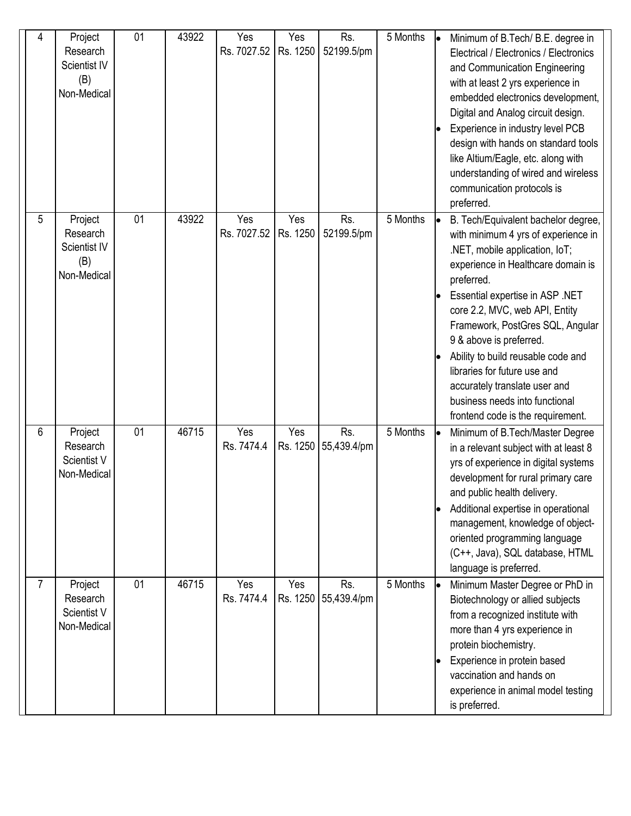| 4              | Project<br>Research<br>Scientist IV<br>(B)<br>Non-Medical | 01 | 43922 | Yes<br>Rs. 7027.52 | Yes<br>Rs. 1250 | Rs.<br>52199.5/pm           | 5 Months | lo | Minimum of B.Tech/ B.E. degree in<br>Electrical / Electronics / Electronics<br>and Communication Engineering<br>with at least 2 yrs experience in<br>embedded electronics development,<br>Digital and Analog circuit design.<br>Experience in industry level PCB<br>design with hands on standard tools<br>like Altium/Eagle, etc. along with<br>understanding of wired and wireless<br>communication protocols is<br>preferred.                                                   |
|----------------|-----------------------------------------------------------|----|-------|--------------------|-----------------|-----------------------------|----------|----|------------------------------------------------------------------------------------------------------------------------------------------------------------------------------------------------------------------------------------------------------------------------------------------------------------------------------------------------------------------------------------------------------------------------------------------------------------------------------------|
| 5              | Project<br>Research<br>Scientist IV<br>(B)<br>Non-Medical | 01 | 43922 | Yes<br>Rs. 7027.52 | Yes<br>Rs. 1250 | Rs.<br>52199.5/pm           | 5 Months |    | B. Tech/Equivalent bachelor degree,<br>with minimum 4 yrs of experience in<br>.NET, mobile application, IoT;<br>experience in Healthcare domain is<br>preferred.<br>Essential expertise in ASP .NET<br>core 2.2, MVC, web API, Entity<br>Framework, PostGres SQL, Angular<br>9 & above is preferred.<br>Ability to build reusable code and<br>libraries for future use and<br>accurately translate user and<br>business needs into functional<br>frontend code is the requirement. |
| 6              | Project<br>Research<br>Scientist V<br>Non-Medical         | 01 | 46715 | Yes<br>Rs. 7474.4  | Yes             | Rs.<br>Rs. 1250 55,439.4/pm | 5 Months |    | Minimum of B.Tech/Master Degree<br>in a relevant subject with at least 8<br>yrs of experience in digital systems<br>development for rural primary care<br>and public health delivery.<br>Additional expertise in operational<br>management, knowledge of object-<br>oriented programming language<br>(C++, Java), SQL database, HTML<br>language is preferred.                                                                                                                     |
| $\overline{7}$ | Project<br>Research<br>Scientist V<br>Non-Medical         | 01 | 46715 | Yes<br>Rs. 7474.4  | Yes<br>Rs. 1250 | Rs.<br>55,439.4/pm          | 5 Months |    | Minimum Master Degree or PhD in<br>Biotechnology or allied subjects<br>from a recognized institute with<br>more than 4 yrs experience in<br>protein biochemistry.<br>Experience in protein based<br>vaccination and hands on<br>experience in animal model testing<br>is preferred.                                                                                                                                                                                                |